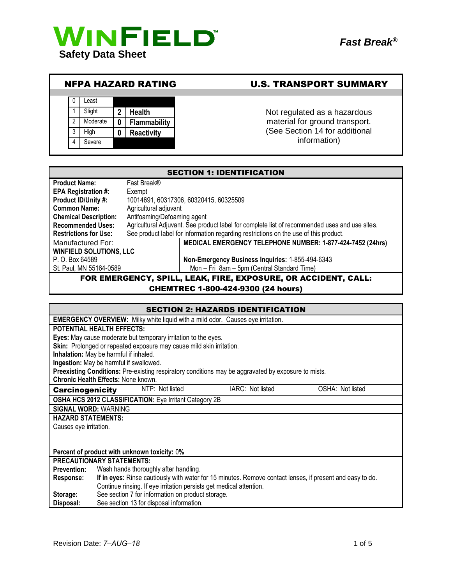

# NFPA HAZARD RATING U.S. TRANSPORT SUMMARY

|   | Least    |   |                   |
|---|----------|---|-------------------|
|   | Slight   | 2 | <b>Health</b>     |
| 2 | Moderate | 0 | Flammability      |
| 3 | High     | 0 | <b>Reactivity</b> |
|   | Severe   |   |                   |

# Not regulated as a hazardous material for ground transport. (See Section 14 for additional information)

|                                                             |             | <b>SECTION 1: IDENTIFICATION</b>                                                              |
|-------------------------------------------------------------|-------------|-----------------------------------------------------------------------------------------------|
| <b>Product Name:</b>                                        | Fast Break® |                                                                                               |
| <b>EPA Registration #:</b>                                  | Exempt      |                                                                                               |
| Product ID/Unity #:                                         |             | 10014691, 60317306, 60320415, 60325509                                                        |
| <b>Common Name:</b><br>Agricultural adjuvant                |             |                                                                                               |
| Antifoaming/Defoaming agent<br><b>Chemical Description:</b> |             |                                                                                               |
| <b>Recommended Uses:</b>                                    |             | Agricultural Adjuvant. See product label for complete list of recommended uses and use sites. |
| <b>Restrictions for Use:</b>                                |             | See product label for information regarding restrictions on the use of this product.          |
| Manufactured For:                                           |             | MEDICAL EMERGENCY TELEPHONE NUMBER: 1-877-424-7452 (24hrs)                                    |
| <b>WINFIELD SOLUTIONS, LLC</b>                              |             |                                                                                               |
| P. O. Box 64589                                             |             | Non-Emergency Business Inquiries: 1-855-494-6343                                              |
| St. Paul, MN 55164-0589                                     |             | Mon - Fri 8am - 5pm (Central Standard Time)                                                   |
|                                                             |             | FOR EMERGENCY, SPILL, LEAK, FIRE, EXPOSURE, OR ACCIDENT, CALL:                                |

CHEMTREC 1-800-424-9300 (24 hours)

| <b>SECTION 2: HAZARDS IDENTIFICATION</b>                                                                               |  |  |
|------------------------------------------------------------------------------------------------------------------------|--|--|
| <b>EMERGENCY OVERVIEW:</b> Milky white liquid with a mild odor. Causes eye irritation.                                 |  |  |
| <b>POTENTIAL HEALTH EFFECTS:</b>                                                                                       |  |  |
| Eyes: May cause moderate but temporary irritation to the eyes.                                                         |  |  |
| Skin: Prolonged or repeated exposure may cause mild skin irritation.                                                   |  |  |
| Inhalation: May be harmful if inhaled.                                                                                 |  |  |
| Ingestion: May be harmful if swallowed.                                                                                |  |  |
| Preexisting Conditions: Pre-existing respiratory conditions may be aggravated by exposure to mists.                    |  |  |
| Chronic Health Effects: None known.                                                                                    |  |  |
| NTP: Not listed<br>IARC: Not listed<br>OSHA: Not listed<br><b>Carcinogenicity</b>                                      |  |  |
| OSHA HCS 2012 CLASSIFICATION: Eye Irritant Category 2B                                                                 |  |  |
| <b>SIGNAL WORD: WARNING</b>                                                                                            |  |  |
| <b>HAZARD STATEMENTS:</b>                                                                                              |  |  |
| Causes eye irritation.                                                                                                 |  |  |
|                                                                                                                        |  |  |
|                                                                                                                        |  |  |
| Percent of product with unknown toxicity: 0%                                                                           |  |  |
| <b>PRECAUTIONARY STATEMENTS:</b>                                                                                       |  |  |
| Wash hands thoroughly after handling.<br><b>Prevention:</b>                                                            |  |  |
| If in eyes: Rinse cautiously with water for 15 minutes. Remove contact lenses, if present and easy to do.<br>Response: |  |  |
| Continue rinsing. If eye irritation persists get medical attention.                                                    |  |  |
| See section 7 for information on product storage.<br>Storage:                                                          |  |  |
| See section 13 for disposal information.<br>Disposal:                                                                  |  |  |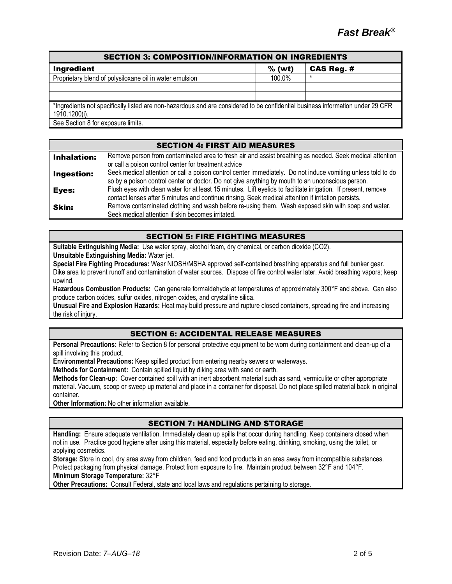| <b>SECTION 3: COMPOSITION/INFORMATION ON INGREDIENTS</b>                                                                       |          |            |
|--------------------------------------------------------------------------------------------------------------------------------|----------|------------|
| <b>Ingredient</b>                                                                                                              | $%$ (wt) | CAS Reg. # |
| Proprietary blend of polysiloxane oil in water emulsion                                                                        | 100.0%   |            |
|                                                                                                                                |          |            |
|                                                                                                                                |          |            |
| *Ingredients not specifically listed are non-hazardous and are considered to be confidential business information under 29 CFR |          |            |
| 1910.1200(i).                                                                                                                  |          |            |
| See Section 8 for exposure limits.                                                                                             |          |            |

#### SECTION 4: FIRST AID MEASURES **Inhalation:** Remove person from contaminated area to fresh air and assist breathing as needed. Seek medical attention or call a poison control center for treatment advice **Ingestion:** Seek medical attention or call a poison control center immediately. Do not induce vomiting unless told to do so by a poison control center or doctor. Do not give anything by mouth to an unconscious person. Eyes: Flush eyes with clean water for at least 15 minutes. Lift eyelids to facilitate irrigation. If present, remove contact lenses after 5 minutes and continue rinsing. Seek medical attention if irritation persists. **Skin:** Remove contaminated clothing and wash before re-using them. Wash exposed skin with soap and water. Seek medical attention if skin becomes irritated.

# SECTION 5: FIRE FIGHTING MEASURES

**Suitable Extinguishing Media:** Use water spray, alcohol foam, dry chemical, or carbon dioxide (CO2). **Unsuitable Extinguishing Media:** Water jet.

**Special Fire Fighting Procedures:** Wear NIOSH/MSHA approved self-contained breathing apparatus and full bunker gear. Dike area to prevent runoff and contamination of water sources. Dispose of fire control water later. Avoid breathing vapors; keep upwind.

**Hazardous Combustion Products:** Can generate formaldehyde at temperatures of approximately 300°F and above. Can also produce carbon oxides, sulfur oxides, nitrogen oxides, and crystalline silica.

**Unusual Fire and Explosion Hazards:** Heat may build pressure and rupture closed containers, spreading fire and increasing the risk of injury.

# SECTION 6: ACCIDENTAL RELEASE MEASURES

**Personal Precautions:** Refer to Section 8 for personal protective equipment to be worn during containment and clean-up of a spill involving this product.

**Environmental Precautions:** Keep spilled product from entering nearby sewers or waterways.

**Methods for Containment:** Contain spilled liquid by diking area with sand or earth.

**Methods for Clean-up:** Cover contained spill with an inert absorbent material such as sand, vermiculite or other appropriate material. Vacuum, scoop or sweep up material and place in a container for disposal. Do not place spilled material back in original container.

**Other Information:** No other information available.

# SECTION 7: HANDLING AND STORAGE

**Handling:** Ensure adequate ventilation. Immediately clean up spills that occur during handling. Keep containers closed when not in use. Practice good hygiene after using this material, especially before eating, drinking, smoking, using the toilet, or applying cosmetics.

**Storage:** Store in cool, dry area away from children, feed and food products in an area away from incompatible substances. Protect packaging from physical damage. Protect from exposure to fire. Maintain product between 32°F and 104°F. **Minimum Storage Temperature:** 32°F

**Other Precautions:** Consult Federal, state and local laws and regulations pertaining to storage.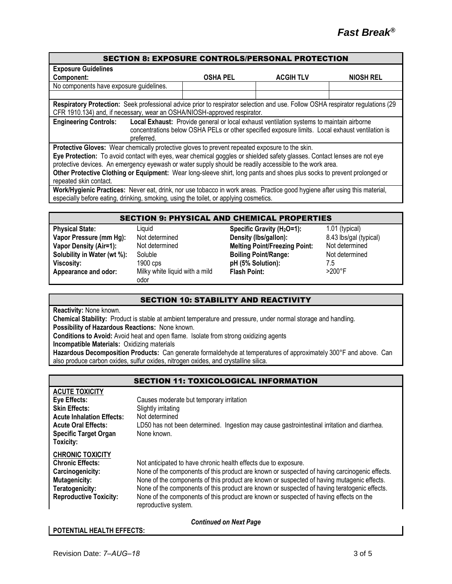#### SECTION 8: EXPOSURE CONTROLS/PERSONAL PROTECTION

| <b>Exposure Guidelines</b>                                                                                                     |                                                                                                 |                  |                  |
|--------------------------------------------------------------------------------------------------------------------------------|-------------------------------------------------------------------------------------------------|------------------|------------------|
| Component:                                                                                                                     | <b>OSHA PEL</b>                                                                                 | <b>ACGIH TLV</b> | <b>NIOSH REL</b> |
| No components have exposure guidelines.                                                                                        |                                                                                                 |                  |                  |
|                                                                                                                                |                                                                                                 |                  |                  |
| Respiratory Protection: Seek professional advice prior to respirator selection and use. Follow OSHA respirator regulations (29 |                                                                                                 |                  |                  |
| CFR 1910.134) and, if necessary, wear an OSHA/NIOSH-approved respirator.                                                       |                                                                                                 |                  |                  |
| <b>Engineering Controls:</b>                                                                                                   | Local Exhaust: Provide general or local exhaust ventilation systems to maintain airborne        |                  |                  |
|                                                                                                                                | concentrations below OSHA PELs or other specified exposure limits. Local exhaust ventilation is |                  |                  |
| preferred.                                                                                                                     |                                                                                                 |                  |                  |
| Protective Gloves: Wear chemically protective gloves to prevent repeated exposure to the skin.                                 |                                                                                                 |                  |                  |
| Eye Protection: To avoid contact with eyes, wear chemical goggles or shielded safety glasses. Contact lenses are not eye       |                                                                                                 |                  |                  |
| protective devices. An emergency eyewash or water supply should be readily accessible to the work area.                        |                                                                                                 |                  |                  |
| Other Protective Clothing or Equipment: Wear long-sleeve shirt, long pants and shoes plus socks to prevent prolonged or        |                                                                                                 |                  |                  |
| repeated skin contact.                                                                                                         |                                                                                                 |                  |                  |
| Work/Hygienic Practices: Never eat, drink, nor use tobacco in work areas. Practice good hygiene after using this material,     |                                                                                                 |                  |                  |
| especially before eating, drinking, smoking, using the toilet, or applying cosmetics.                                          |                                                                                                 |                  |                  |

#### SECTION 9: PHYSICAL AND CHEMICAL PROPERTIES

| <b>Physical State:</b>      | Liquid                         | Specific Gravity (H <sub>2</sub> O=1): | 1.01 (typical)         |
|-----------------------------|--------------------------------|----------------------------------------|------------------------|
| Vapor Pressure (mm Hg):     | Not determined                 | Density (lbs/gallon):                  | 8.43 lbs/gal (typical) |
| Vapor Density (Air=1):      | Not determined                 | <b>Melting Point/Freezing Point:</b>   | Not determined         |
| Solubility in Water (wt %): | Soluble                        | <b>Boiling Point/Range:</b>            | Not determined         |
| Viscosity:                  | $1900$ cps                     | pH (5% Solution):                      | 7.5                    |
| Appearance and odor:        | Milky white liquid with a mild | <b>Flash Point:</b>                    | $>200^{\circ}$ F       |
|                             | odor                           |                                        |                        |

# SECTION 10: STABILITY AND REACTIVITY

**Reactivity:** None known.

**Chemical Stability:** Product is stable at ambient temperature and pressure, under normal storage and handling.

**Possibility of Hazardous Reactions:** None known.

**Conditions to Avoid:** Avoid heat and open flame. Isolate from strong oxidizing agents

**Incompatible Materials:** Oxidizing materials

**Hazardous Decomposition Products:** Can generate formaldehyde at temperatures of approximately 300°F and above. Can also produce carbon oxides, sulfur oxides, nitrogen oxides, and crystalline silica.

|                                                                                                                                                                                     | <b>SECTION 11: TOXICOLOGICAL INFORMATION</b>                                                                                                                                                                                                                                                                                                                                                                                                                                     |
|-------------------------------------------------------------------------------------------------------------------------------------------------------------------------------------|----------------------------------------------------------------------------------------------------------------------------------------------------------------------------------------------------------------------------------------------------------------------------------------------------------------------------------------------------------------------------------------------------------------------------------------------------------------------------------|
| <b>ACUTE TOXICITY</b><br><b>Eye Effects:</b><br><b>Skin Effects:</b><br><b>Acute Inhalation Effects:</b><br><b>Acute Oral Effects:</b><br><b>Specific Target Organ</b><br>Toxicity: | Causes moderate but temporary irritation<br>Slightly irritating<br>Not determined<br>LD50 has not been determined. Ingestion may cause gastrointestinal irritation and diarrhea.<br>None known.                                                                                                                                                                                                                                                                                  |
| <b>CHRONIC TOXICITY</b><br><b>Chronic Effects:</b><br>Carcinogenicity:<br><b>Mutagenicity:</b><br>Teratogenicity:<br><b>Reproductive Toxicity:</b>                                  | Not anticipated to have chronic health effects due to exposure.<br>None of the components of this product are known or suspected of having carcinogenic effects.<br>None of the components of this product are known or suspected of having mutagenic effects.<br>None of the components of this product are known or suspected of having teratogenic effects.<br>None of the components of this product are known or suspected of having effects on the<br>reproductive system. |

*Continued on Next Page*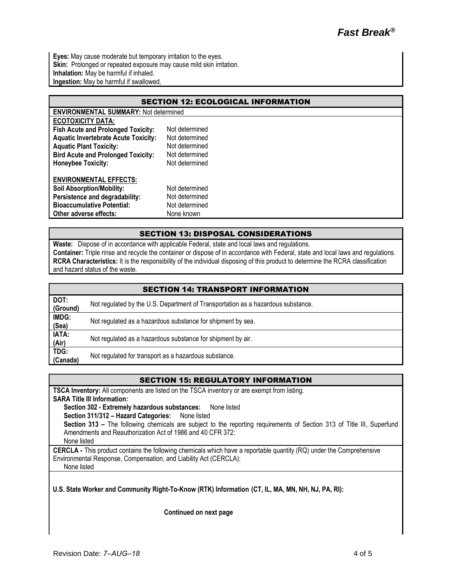**Eyes:** May cause moderate but temporary irritation to the eyes. Skin: Prolonged or repeated exposure may cause mild skin irritation. **Inhalation:** May be harmful if inhaled. **Ingestion:** May be harmful if swallowed.

| <b>SECTION 12: ECOLOGICAL INFORMATION</b>   |                                              |  |  |  |
|---------------------------------------------|----------------------------------------------|--|--|--|
|                                             | <b>ENVIRONMENTAL SUMMARY: Not determined</b> |  |  |  |
| <b>ECOTOXICITY DATA:</b>                    |                                              |  |  |  |
| <b>Fish Acute and Prolonged Toxicity:</b>   | Not determined                               |  |  |  |
| <b>Aquatic Invertebrate Acute Toxicity:</b> | Not determined                               |  |  |  |
| <b>Aquatic Plant Toxicity:</b>              | Not determined                               |  |  |  |
| <b>Bird Acute and Prolonged Toxicity:</b>   | Not determined                               |  |  |  |
| <b>Honeybee Toxicity:</b>                   | Not determined                               |  |  |  |
| <b>ENVIRONMENTAL EFFECTS:</b>               |                                              |  |  |  |
| <b>Soil Absorption/Mobility:</b>            | Not determined                               |  |  |  |
| Persistence and degradability:              | Not determined                               |  |  |  |
| <b>Bioaccumulative Potential:</b>           | Not determined                               |  |  |  |
| Other adverse effects:                      | None known                                   |  |  |  |

# SECTION 13: DISPOSAL CONSIDERATIONS

**Waste:** Dispose of in accordance with applicable Federal, state and local laws and regulations. **Container:** Triple rinse and recycle the container or dispose of in accordance with Federal, state and local laws and regulations. **RCRA Characteristics:** It is the responsibility of the individual disposing of this product to determine the RCRA classification and hazard status of the waste.

|                  | <b>SECTION 14: TRANSPORT INFORMATION</b>                                         |
|------------------|----------------------------------------------------------------------------------|
| DOT:<br>(Ground) | Not regulated by the U.S. Department of Transportation as a hazardous substance. |
| IMDG:<br>(Sea)   | Not regulated as a hazardous substance for shipment by sea.                      |
| IATA:<br>(Air)   | Not regulated as a hazardous substance for shipment by air.                      |
| TDG:<br>(Canada) | Not regulated for transport as a hazardous substance.                            |

# SECTION 15: REGULATORY INFORMATION

**TSCA Inventory:** All components are listed on the TSCA inventory or are exempt from listing.

**SARA Title III Information:**

**Section 302 - Extremely hazardous substances:** None listed

**Section 311/312 – Hazard Categories:** None listed

**Section 313 –** The following chemicals are subject to the reporting requirements of Section 313 of Title III, Superfund Amendments and Reauthorization Act of 1986 and 40 CFR 372:

None listed

**CERCLA -** This product contains the following chemicals which have a reportable quantity (RQ) under the Comprehensive Environmental Response, Compensation, and Liability Act (CERCLA): None listed

**U.S. State Worker and Community Right-To-Know (RTK) Information (CT, IL, MA, MN, NH, NJ, PA, RI):**

**Continued on next page**